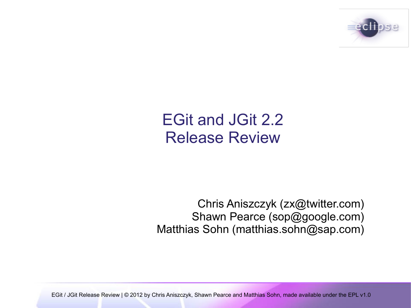

### EGit and JGit 2.2 Release Review

Chris Aniszczyk (zx@twitter.com) Shawn Pearce (sop@google.com) Matthias Sohn (matthias.sohn@sap.com)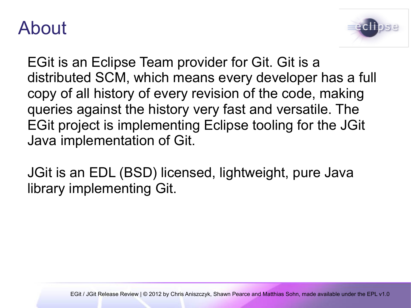### About



EGit is an Eclipse Team provider for Git. Git is a distributed SCM, which means every developer has a full copy of all history of every revision of the code, making queries against the history very fast and versatile. The EGit project is implementing Eclipse tooling for the JGit Java implementation of Git.

JGit is an EDL (BSD) licensed, lightweight, pure Java library implementing Git.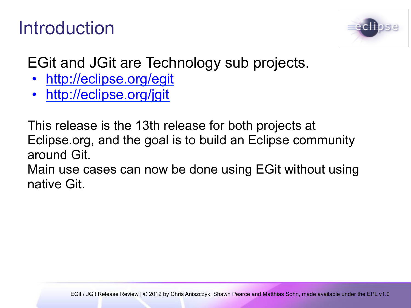### Introduction



EGit and JGit are Technology sub projects.

- http://eclipse.org/egit
- http://eclipse.org/jgit

This release is the 13th release for both projects at Eclipse.org, and the goal is to build an Eclipse community around Git.

Main use cases can now be done using EGit without using native Git.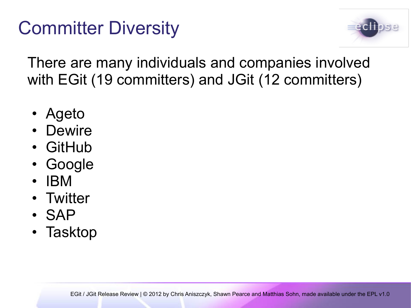### Committer Diversity



There are many individuals and companies involved with EGit (19 committers) and JGit (12 committers)

- Ageto
- Dewire
- GitHub
- Google
- IBM
- Twitter
- SAP
- Tasktop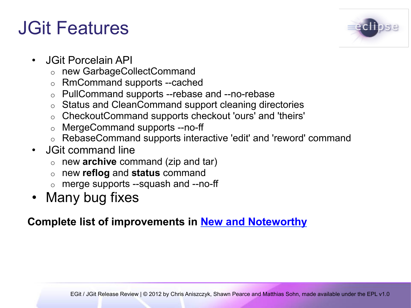### JGit Features



- JGit Porcelain API
	- o new GarbageCollectCommand
	- o RmCommand supports --cached
	- o PullCommand supports --rebase and --no-rebase
	- o Status and CleanCommand support cleaning directories
	- o CheckoutCommand supports checkout 'ours' and 'theirs'
	- o MergeCommand supports --no-ff
	- o RebaseCommand supports interactive 'edit' and 'reword' command
- JGit command line
	- o new **archive** command (zip and tar)
	- o new **reflog** and **status** command
	- o merge supports --squash and --no-ff
- Many bug fixes

#### **Complete list of improvements in New and Noteworthy**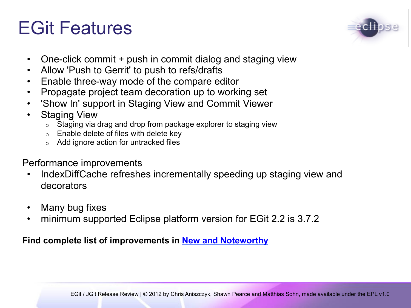### EGit Features



- One-click commit + push in commit dialog and staging view
- Allow 'Push to Gerrit' to push to refs/drafts
- Enable three-way mode of the compare editor
- Propagate project team decoration up to working set
- 'Show In' support in Staging View and Commit Viewer
- **Staging View** 
	- $\circ$  Staging via drag and drop from package explorer to staging view
	- o Enable delete of files with delete key
	- Add ignore action for untracked files

Performance improvements

- IndexDiffCache refreshes incrementally speeding up staging view and decorators
- Many bug fixes
- minimum supported Eclipse platform version for EGit 2.2 is 3.7.2

#### **Find complete list of improvements in New and Noteworthy**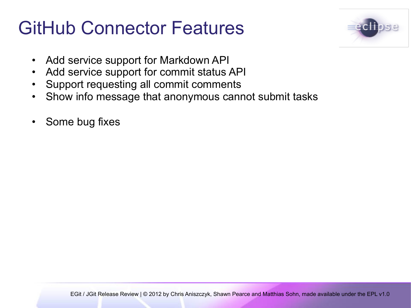### GitHub Connector Features



- Add service support for Markdown API
- Add service support for commit status API
- Support requesting all commit comments
- Show info message that anonymous cannot submit tasks
- Some bug fixes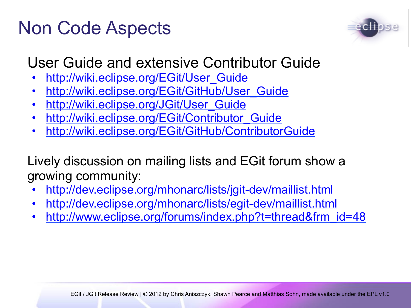### Non Code Aspects



#### User Guide and extensive Contributor Guide

- http://wiki.eclipse.org/EGit/User\_Guide
- http://wiki.eclipse.org/EGit/GitHub/User Guide
- http://wiki.eclipse.org/JGit/User\_Guide
- http://wiki.eclipse.org/EGit/Contributor Guide
- http://wiki.eclipse.org/EGit/GitHub/ContributorGuide

Lively discussion on mailing lists and EGit forum show a growing community:

- http://dev.eclipse.org/mhonarc/lists/jgit-dev/maillist.html
- http://dev.eclipse.org/mhonarc/lists/egit-dev/maillist.html
- http://www.eclipse.org/forums/index.php?t=thread&frm\_id=48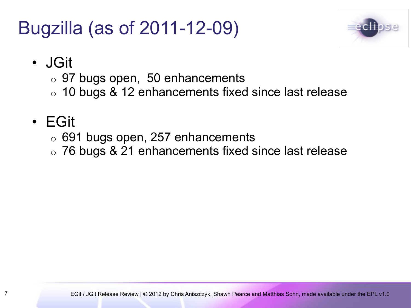### Bugzilla (as of 2011-12-09)



- JGit
	- $\circ$  97 bugs open, 50 enhancements
	- $\circ$  10 bugs & 12 enhancements fixed since last release

### • EGit

- $\circ$  691 bugs open, 257 enhancements
- o 76 bugs & 21 enhancements fixed since last release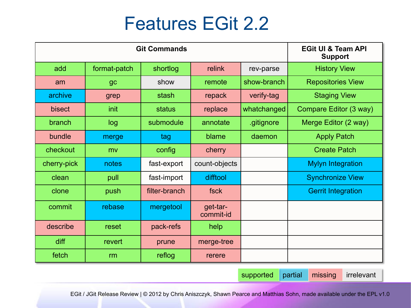### Features EGit 2.2

| <b>Git Commands</b> |              |               |                       |             | <b>EGit UI &amp; Team API</b><br><b>Support</b> |
|---------------------|--------------|---------------|-----------------------|-------------|-------------------------------------------------|
| add                 | format-patch | shortlog      | relink                | rev-parse   | <b>History View</b>                             |
| am                  | gc           | show          | remote                | show-branch | <b>Repositories View</b>                        |
| archive             | grep         | stash         | repack                | verify-tag  | <b>Staging View</b>                             |
| bisect              | init         | status        | replace               | whatchanged | Compare Editor (3 way)                          |
| branch              | log          | submodule     | annotate              | .gitignore  | Merge Editor (2 way)                            |
| bundle              | merge        | tag           | blame                 | daemon      | <b>Apply Patch</b>                              |
| checkout            | mv           | config        | cherry                |             | <b>Create Patch</b>                             |
| cherry-pick         | notes        | fast-export   | count-objects         |             | <b>Mylyn Integration</b>                        |
| clean               | pull         | fast-import   | difftool              |             | <b>Synchronize View</b>                         |
| clone               | push         | filter-branch | fsck                  |             | <b>Gerrit Integration</b>                       |
| commit              | rebase       | mergetool     | get-tar-<br>commit-id |             |                                                 |
| describe            | reset        | pack-refs     | help                  |             |                                                 |
| diff                | revert       | prune         | merge-tree            |             |                                                 |
| fetch               | rm           | reflog        | rerere                |             |                                                 |

supported partial missing irrelevant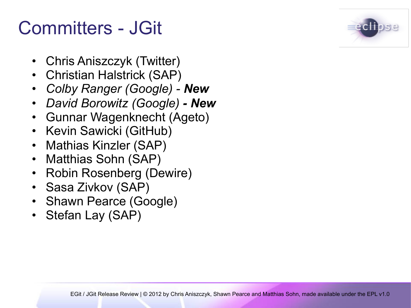### Committers - JGit

- Chris Aniszczyk (Twitter)
- Christian Halstrick (SAP)
- *Colby Ranger (Google) New*
- *David Borowitz (Google) New*
- Gunnar Wagenknecht (Ageto)
- Kevin Sawicki (GitHub)
- Mathias Kinzler (SAP)
- Matthias Sohn (SAP)
- Robin Rosenberg (Dewire)
- Sasa Zivkov (SAP)
- Shawn Pearce (Google)
- Stefan Lay (SAP)

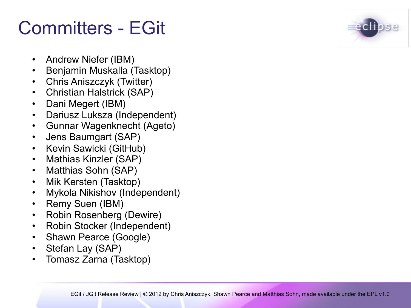### Committers - EGit

- Andrew Niefer (IBM)
- Benjamin Muskalla (Tasktop)
- Chris Aniszczyk (Twitter)
- Christian Halstrick (SAP)
- Dani Megert (IBM)
- Dariusz Luksza (Independent)
- Gunnar Wagenknecht (Ageto)
- Jens Baumgart (SAP)
- Kevin Sawicki (GitHub)
- Mathias Kinzler (SAP)
- Matthias Sohn (SAP)
- Mik Kersten (Tasktop)
- Mykola Nikishov (Independent)
- Remy Suen (IBM)
- Robin Rosenberg (Dewire)
- Robin Stocker (Independent)
- Shawn Pearce (Google)
- Stefan Lay (SAP)
- Tomasz Zarna (Tasktop)

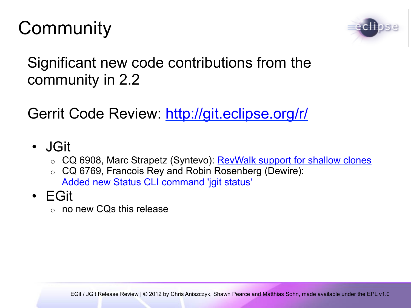# **Community**



Significant new code contributions from the community in 2.2

Gerrit Code Review: http://git.eclipse.org/r/

- JGit
	- o CQ 6908, Marc Strapetz (Syntevo): RevWalk support for shallow clones
	- o CQ 6769, Francois Rey and Robin Rosenberg (Dewire): Added new Status CLI command 'jgit status'
- EGit
	- o no new CQs this release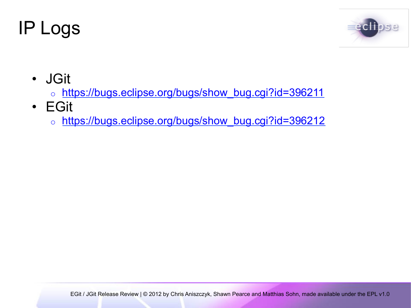### IP Logs



- JGit
	- o https://bugs.eclipse.org/bugs/show\_bug.cgi?id=396211
- EGit
	- o https://bugs.eclipse.org/bugs/show\_bug.cgi?id=396212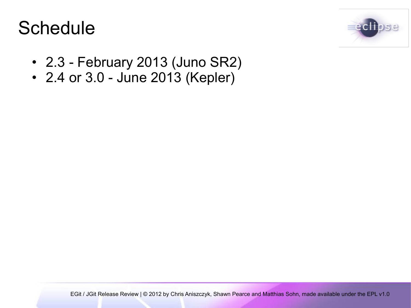### **Schedule**



- 2.3 February 2013 (Juno SR2)
- 2.4 or 3.0 June 2013 (Kepler)